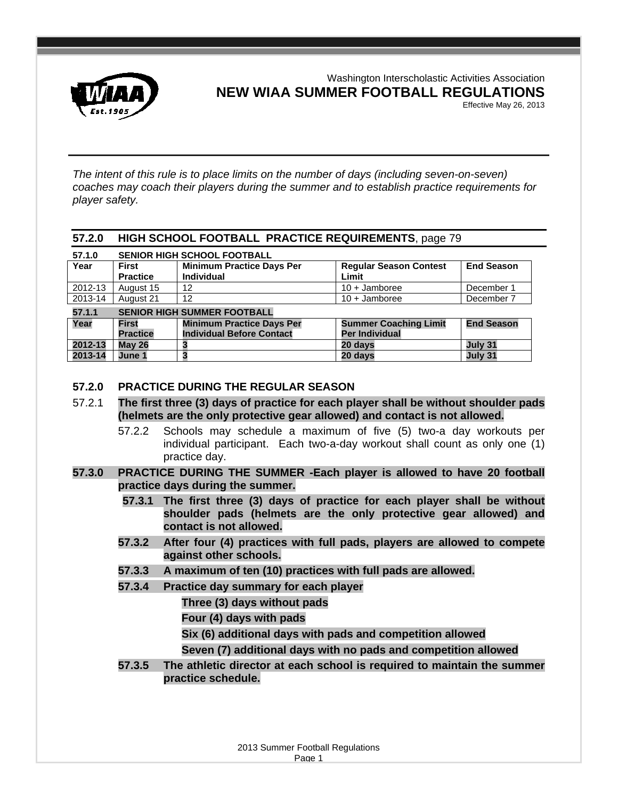

Washington Interscholastic Activities Association **NEW WIAA SUMMER FOOTBALL REGULATIONS** 

Effective May 26, 2013

*The intent of this rule is to place limits on the number of days (including seven-on-seven) coaches may coach their players during the summer and to establish practice requirements for player safety.* 

## **57.2.0 HIGH SCHOOL FOOTBALL PRACTICE REQUIREMENTS**, page 79

| 57.1.0  | <b>SENIOR HIGH SCHOOL FOOTBALL</b> |                                                       |                                        |                   |  |  |
|---------|------------------------------------|-------------------------------------------------------|----------------------------------------|-------------------|--|--|
| Year    | <b>First</b><br><b>Practice</b>    | <b>Minimum Practice Days Per</b><br><b>Individual</b> | <b>Regular Season Contest</b><br>Limit | <b>End Season</b> |  |  |
| 2012-13 | August 15                          | 12                                                    | $10 +$ Jamboree                        | December 1        |  |  |
| 2013-14 | August 21                          | 12                                                    | $10 +$ Jamboree                        | December 7        |  |  |
| 57.1.1  | <b>SENIOR HIGH SUMMER FOOTBALL</b> |                                                       |                                        |                   |  |  |

| .       | <u>ULINOR INOITOUMMEN LOUTDALL</u> |                                  |                              |                   |  |
|---------|------------------------------------|----------------------------------|------------------------------|-------------------|--|
| Year    | First                              | <b>Minimum Practice Days Per</b> | <b>Summer Coaching Limit</b> | <b>End Season</b> |  |
|         | <b>Practice</b>                    | <b>Individual Before Contact</b> | Per Individual               |                   |  |
| 2012-13 | Mav 26                             |                                  | 20 davs                      | July 31           |  |
| 2013-14 | June 1                             |                                  | 20 davs                      | July 31           |  |

# **57.2.0 PRACTICE DURING THE REGULAR SEASON**

- 57.2.1 **The first three (3) days of practice for each player shall be without shoulder pads (helmets are the only protective gear allowed) and contact is not allowed.** 
	- 57.2.2 Schools may schedule a maximum of five (5) two-a day workouts per individual participant. Each two-a-day workout shall count as only one (1) practice day.
- **57.3.0 PRACTICE DURING THE SUMMER -Each player is allowed to have 20 football practice days during the summer.** 
	- **57.3.1 The first three (3) days of practice for each player shall be without shoulder pads (helmets are the only protective gear allowed) and contact is not allowed.**
	- **57.3.2 After four (4) practices with full pads, players are allowed to compete against other schools.**
	- **57.3.3 A maximum of ten (10) practices with full pads are allowed.**
	- **57.3.4 Practice day summary for each player** 
		- **Three (3) days without pads**
		- **Four (4) days with pads**
		- **Six (6) additional days with pads and competition allowed**
		- **Seven (7) additional days with no pads and competition allowed**
	- **57.3.5 The athletic director at each school is required to maintain the summer practice schedule.**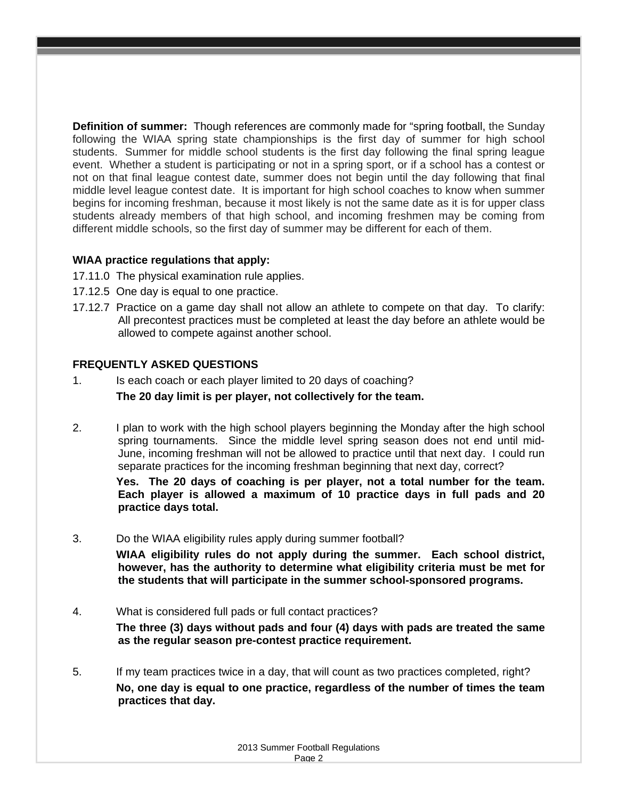**Definition of summer:** Though references are commonly made for "spring football, the Sunday following the WIAA spring state championships is the first day of summer for high school students. Summer for middle school students is the first day following the final spring league event. Whether a student is participating or not in a spring sport, or if a school has a contest or not on that final league contest date, summer does not begin until the day following that final middle level league contest date. It is important for high school coaches to know when summer begins for incoming freshman, because it most likely is not the same date as it is for upper class students already members of that high school, and incoming freshmen may be coming from different middle schools, so the first day of summer may be different for each of them.

# **WIAA practice regulations that apply:**

- 17.11.0 The physical examination rule applies.
- 17.12.5 One day is equal to one practice.
- 17.12.7 Practice on a game day shall not allow an athlete to compete on that day. To clarify: All precontest practices must be completed at least the day before an athlete would be allowed to compete against another school.

## **FREQUENTLY ASKED QUESTIONS**

- 1. Is each coach or each player limited to 20 days of coaching?  **The 20 day limit is per player, not collectively for the team.**
- 2. I plan to work with the high school players beginning the Monday after the high school spring tournaments. Since the middle level spring season does not end until mid-June, incoming freshman will not be allowed to practice until that next day. I could run separate practices for the incoming freshman beginning that next day, correct?

 **Yes. The 20 days of coaching is per player, not a total number for the team. Each player is allowed a maximum of 10 practice days in full pads and 20 practice days total.** 

### 3. Do the WIAA eligibility rules apply during summer football?

 **WIAA eligibility rules do not apply during the summer. Each school district, however, has the authority to determine what eligibility criteria must be met for the students that will participate in the summer school-sponsored programs.** 

- 4. What is considered full pads or full contact practices? **The three (3) days without pads and four (4) days with pads are treated the same as the regular season pre-contest practice requirement.**
- 5. If my team practices twice in a day, that will count as two practices completed, right? **No, one day is equal to one practice, regardless of the number of times the team practices that day.**